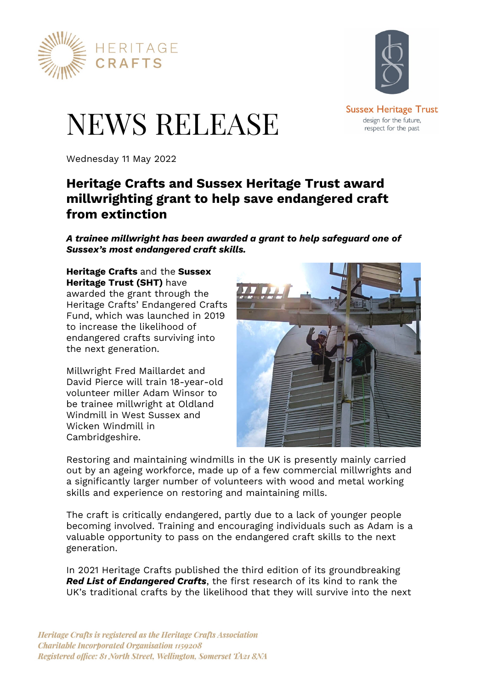



design for the future. respect for the past

# NEWS RELEASE

Wednesday 11 May 2022

# **Heritage Crafts and Sussex Heritage Trust award millwrighting grant to help save endangered craft from extinction**

*A trainee millwright has been awarded a grant to help safeguard one of Sussex's most endangered craft skills.* 

**Heritage Crafts** and the **Sussex Heritage Trust (SHT)** have awarded the grant through the Heritage Crafts' Endangered Crafts Fund, which was launched in 2019 to increase the likelihood of endangered crafts surviving into the next generation.

Millwright Fred Maillardet and David Pierce will train 18-year-old volunteer miller Adam Winsor to be trainee millwright at Oldland Windmill in West Sussex and Wicken Windmill in Cambridgeshire.



Restoring and maintaining windmills in the UK is presently mainly carried out by an ageing workforce, made up of a few commercial millwrights and a significantly larger number of volunteers with wood and metal working skills and experience on restoring and maintaining mills.

The craft is critically endangered, partly due to a lack of younger people becoming involved. Training and encouraging individuals such as Adam is a valuable opportunity to pass on the endangered craft skills to the next generation.

In 2021 Heritage Crafts published the third edition of its groundbreaking *Red List of Endangered Crafts*, the first research of its kind to rank the UK's traditional crafts by the likelihood that they will survive into the next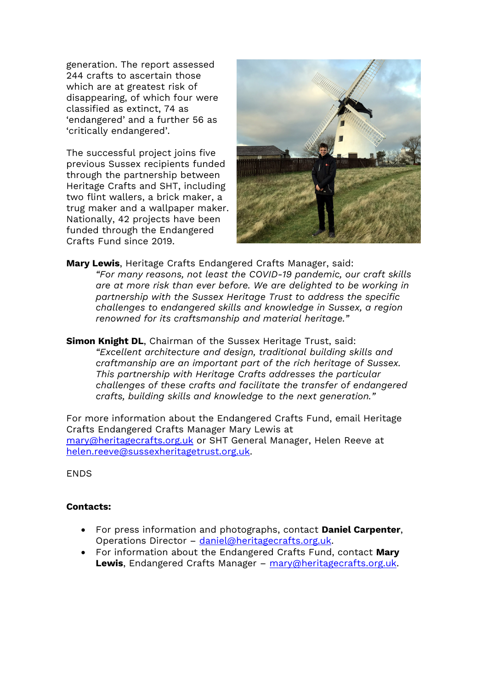generation. The report assessed 244 crafts to ascertain those which are at greatest risk of disappearing, of which four were classified as extinct, 74 as 'endangered' and a further 56 as 'critically endangered'.

The successful project joins five previous Sussex recipients funded through the partnership between Heritage Crafts and SHT, including two flint wallers, a brick maker, a trug maker and a wallpaper maker. Nationally, 42 projects have been funded through the Endangered Crafts Fund since 2019.



**Mary Lewis**, Heritage Crafts Endangered Crafts Manager, said: *"For many reasons, not least the COVID-19 pandemic, our craft skills are at more risk than ever before. We are delighted to be working in partnership with the Sussex Heritage Trust to address the specific challenges to endangered skills and knowledge in Sussex, a region renowned for its craftsmanship and material heritage."* 

**Simon Knight DL**, Chairman of the Sussex Heritage Trust, said: *"Excellent architecture and design, traditional building skills and craftmanship are an important part of the rich heritage of Sussex. This partnership with Heritage Crafts addresses the particular challenges of these crafts and facilitate the transfer of endangered crafts, building skills and knowledge to the next generation."* 

For more information about the Endangered Crafts Fund, email Heritage Crafts Endangered Crafts Manager Mary Lewis at mary@heritagecrafts.org.uk or SHT General Manager, Helen Reeve at helen.reeve@sussexheritagetrust.org.uk.

**FNDS** 

#### **Contacts:**

- For press information and photographs, contact **Daniel Carpenter**, Operations Director – daniel@heritagecrafts.org.uk.
- For information about the Endangered Crafts Fund, contact **Mary Lewis**, Endangered Crafts Manager – mary@heritagecrafts.org.uk.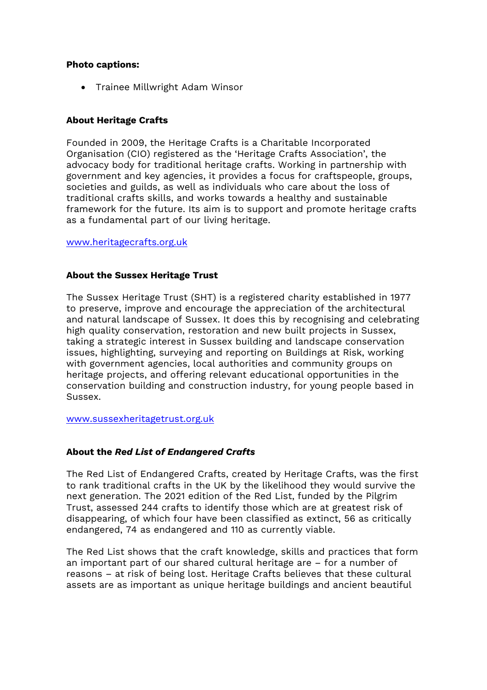#### **Photo captions:**

Trainee Millwright Adam Winsor

## **About Heritage Crafts**

Founded in 2009, the Heritage Crafts is a Charitable Incorporated Organisation (CIO) registered as the 'Heritage Crafts Association', the advocacy body for traditional heritage crafts. Working in partnership with government and key agencies, it provides a focus for craftspeople, groups, societies and guilds, as well as individuals who care about the loss of traditional crafts skills, and works towards a healthy and sustainable framework for the future. Its aim is to support and promote heritage crafts as a fundamental part of our living heritage.

www.heritagecrafts.org.uk

## **About the Sussex Heritage Trust**

The Sussex Heritage Trust (SHT) is a registered charity established in 1977 to preserve, improve and encourage the appreciation of the architectural and natural landscape of Sussex. It does this by recognising and celebrating high quality conservation, restoration and new built projects in Sussex, taking a strategic interest in Sussex building and landscape conservation issues, highlighting, surveying and reporting on Buildings at Risk, working with government agencies, local authorities and community groups on heritage projects, and offering relevant educational opportunities in the conservation building and construction industry, for young people based in Sussex.

www.sussexheritagetrust.org.uk

#### **About the** *Red List of Endangered Crafts*

The Red List of Endangered Crafts, created by Heritage Crafts, was the first to rank traditional crafts in the UK by the likelihood they would survive the next generation. The 2021 edition of the Red List, funded by the Pilgrim Trust, assessed 244 crafts to identify those which are at greatest risk of disappearing, of which four have been classified as extinct, 56 as critically endangered, 74 as endangered and 110 as currently viable.

The Red List shows that the craft knowledge, skills and practices that form an important part of our shared cultural heritage are – for a number of reasons – at risk of being lost. Heritage Crafts believes that these cultural assets are as important as unique heritage buildings and ancient beautiful